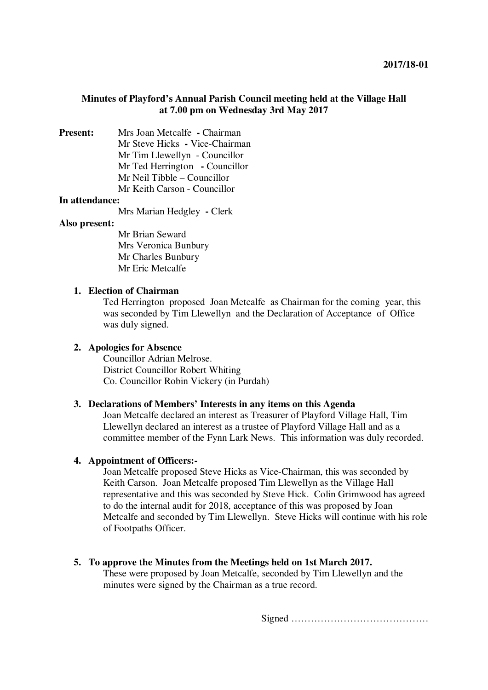# **Minutes of Playford's Annual Parish Council meeting held at the Village Hall at 7.00 pm on Wednesday 3rd May 2017**

**Present:** Mrs Joan Metcalfe **-** Chairman Mr Steve Hicks **-** Vice-Chairman Mr Tim Llewellyn - Councillor Mr Ted Herrington **-** Councillor Mr Neil Tibble – Councillor Mr Keith Carson - Councillor

### **In attendance:**

Mrs Marian Hedgley **-** Clerk

### **Also present:**

Mr Brian Seward Mrs Veronica Bunbury Mr Charles Bunbury Mr Eric Metcalfe

## **1. Election of Chairman**

Ted Herrington proposed Joan Metcalfe as Chairman for the coming year, this was seconded by Tim Llewellyn and the Declaration of Acceptance of Office was duly signed.

### **2. Apologies for Absence**

Councillor Adrian Melrose. District Councillor Robert Whiting Co. Councillor Robin Vickery (in Purdah)

### **3. Declarations of Members' Interests in any items on this Agenda**

Joan Metcalfe declared an interest as Treasurer of Playford Village Hall, Tim Llewellyn declared an interest as a trustee of Playford Village Hall and as a committee member of the Fynn Lark News. This information was duly recorded.

### **4. Appointment of Officers:-**

Joan Metcalfe proposed Steve Hicks as Vice-Chairman, this was seconded by Keith Carson. Joan Metcalfe proposed Tim Llewellyn as the Village Hall representative and this was seconded by Steve Hick. Colin Grimwood has agreed to do the internal audit for 2018, acceptance of this was proposed by Joan Metcalfe and seconded by Tim Llewellyn. Steve Hicks will continue with his role of Footpaths Officer.

### **5. To approve the Minutes from the Meetings held on 1st March 2017.**

These were proposed by Joan Metcalfe, seconded by Tim Llewellyn and the minutes were signed by the Chairman as a true record.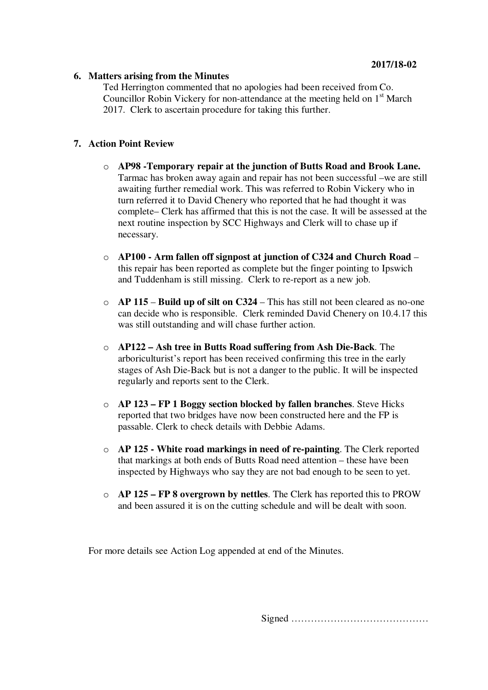# **6. Matters arising from the Minutes**

Ted Herrington commented that no apologies had been received from Co. Councillor Robin Vickery for non-attendance at the meeting held on  $1<sup>st</sup>$  March 2017. Clerk to ascertain procedure for taking this further.

# **7. Action Point Review**

- o **AP98 -Temporary repair at the junction of Butts Road and Brook Lane.** Tarmac has broken away again and repair has not been successful –we are still awaiting further remedial work. This was referred to Robin Vickery who in turn referred it to David Chenery who reported that he had thought it was complete– Clerk has affirmed that this is not the case. It will be assessed at the next routine inspection by SCC Highways and Clerk will to chase up if necessary.
- o **AP100 Arm fallen off signpost at junction of C324 and Church Road** this repair has been reported as complete but the finger pointing to Ipswich and Tuddenham is still missing. Clerk to re-report as a new job.
- o **AP 115 Build up of silt on C324** This has still not been cleared as no-one can decide who is responsible. Clerk reminded David Chenery on 10.4.17 this was still outstanding and will chase further action.
- o **AP122 – Ash tree in Butts Road suffering from Ash Die-Back**. The arboriculturist's report has been received confirming this tree in the early stages of Ash Die-Back but is not a danger to the public. It will be inspected regularly and reports sent to the Clerk.
- o **AP 123 FP 1 Boggy section blocked by fallen branches**. Steve Hicks reported that two bridges have now been constructed here and the FP is passable. Clerk to check details with Debbie Adams.
- o **AP 125 White road markings in need of re-painting**. The Clerk reported that markings at both ends of Butts Road need attention – these have been inspected by Highways who say they are not bad enough to be seen to yet.
- o **AP 125 FP 8 overgrown by nettles**. The Clerk has reported this to PROW and been assured it is on the cutting schedule and will be dealt with soon.

For more details see Action Log appended at end of the Minutes.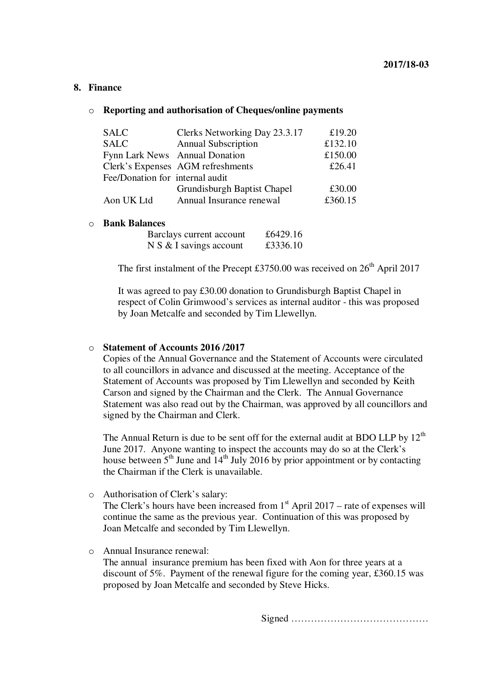## **8. Finance**

#### o **Reporting and authorisation of Cheques/online payments**

| <b>SALC</b>                     | Clerks Networking Day 23.3.17     | £19.20  |
|---------------------------------|-----------------------------------|---------|
| <b>SALC</b>                     | <b>Annual Subscription</b>        | £132.10 |
|                                 | Fynn Lark News Annual Donation    | £150.00 |
|                                 | Clerk's Expenses AGM refreshments | £26.41  |
| Fee/Donation for internal audit |                                   |         |
|                                 | Grundisburgh Baptist Chapel       | £30.00  |
| Aon UK Ltd                      | Annual Insurance renewal          | £360.15 |

#### o **Bank Balances**

| Barclays current account  | £6429.16 |
|---------------------------|----------|
| $N S & I$ savings account | £3336.10 |

The first instalment of the Precept £3750.00 was received on  $26<sup>th</sup>$  April 2017

It was agreed to pay £30.00 donation to Grundisburgh Baptist Chapel in respect of Colin Grimwood's services as internal auditor - this was proposed by Joan Metcalfe and seconded by Tim Llewellyn.

## o **Statement of Accounts 2016 /2017**

Copies of the Annual Governance and the Statement of Accounts were circulated to all councillors in advance and discussed at the meeting. Acceptance of the Statement of Accounts was proposed by Tim Llewellyn and seconded by Keith Carson and signed by the Chairman and the Clerk. The Annual Governance Statement was also read out by the Chairman, was approved by all councillors and signed by the Chairman and Clerk.

The Annual Return is due to be sent off for the external audit at BDO LLP by  $12<sup>th</sup>$ June 2017. Anyone wanting to inspect the accounts may do so at the Clerk's house between  $5<sup>th</sup>$  June and  $14<sup>th</sup>$  July 2016 by prior appointment or by contacting the Chairman if the Clerk is unavailable.

o Authorisation of Clerk's salary:

The Clerk's hours have been increased from  $1<sup>st</sup>$  April 2017 – rate of expenses will continue the same as the previous year. Continuation of this was proposed by Joan Metcalfe and seconded by Tim Llewellyn.

o Annual Insurance renewal:

The annual insurance premium has been fixed with Aon for three years at a discount of 5%. Payment of the renewal figure for the coming year, £360.15 was proposed by Joan Metcalfe and seconded by Steve Hicks.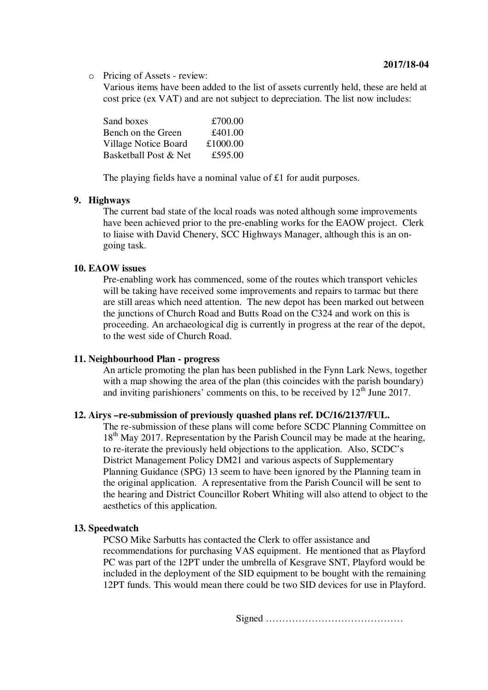o Pricing of Assets - review:

Various items have been added to the list of assets currently held, these are held at cost price (ex VAT) and are not subject to depreciation. The list now includes:

| Sand boxes                  | £700.00  |
|-----------------------------|----------|
| Bench on the Green          | £401.00  |
| <b>Village Notice Board</b> | £1000.00 |
| Basketball Post & Net       | £595.00  |

The playing fields have a nominal value of £1 for audit purposes.

## **9. Highways**

The current bad state of the local roads was noted although some improvements have been achieved prior to the pre-enabling works for the EAOW project. Clerk to liaise with David Chenery, SCC Highways Manager, although this is an ongoing task.

## **10. EAOW issues**

Pre-enabling work has commenced, some of the routes which transport vehicles will be taking have received some improvements and repairs to tarmac but there are still areas which need attention. The new depot has been marked out between the junctions of Church Road and Butts Road on the C324 and work on this is proceeding. An archaeological dig is currently in progress at the rear of the depot, to the west side of Church Road.

## **11. Neighbourhood Plan - progress**

An article promoting the plan has been published in the Fynn Lark News, together with a map showing the area of the plan (this coincides with the parish boundary) and inviting parishioners' comments on this, to be received by  $12<sup>th</sup>$  June 2017.

## **12. Airys –re-submission of previously quashed plans ref. DC/16/2137/FUL.**

The re-submission of these plans will come before SCDC Planning Committee on 18<sup>th</sup> May 2017. Representation by the Parish Council may be made at the hearing, to re-iterate the previously held objections to the application. Also, SCDC's District Management Policy DM21 and various aspects of Supplementary Planning Guidance (SPG) 13 seem to have been ignored by the Planning team in the original application. A representative from the Parish Council will be sent to the hearing and District Councillor Robert Whiting will also attend to object to the aesthetics of this application.

### **13. Speedwatch**

PCSO Mike Sarbutts has contacted the Clerk to offer assistance and recommendations for purchasing VAS equipment. He mentioned that as Playford PC was part of the 12PT under the umbrella of Kesgrave SNT, Playford would be included in the deployment of the SID equipment to be bought with the remaining 12PT funds. This would mean there could be two SID devices for use in Playford.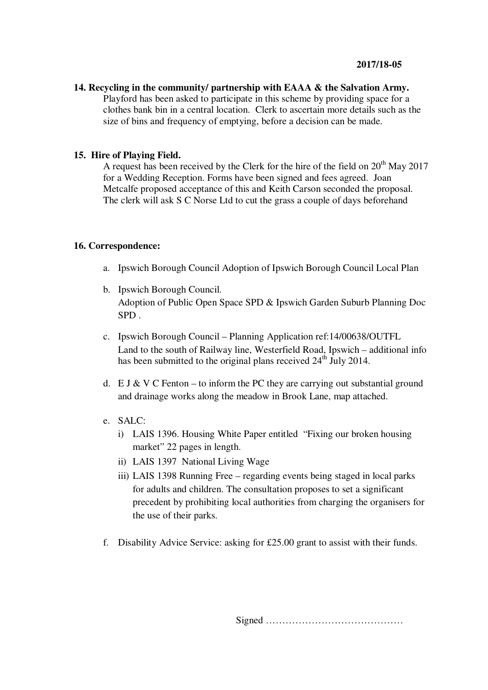**14. Recycling in the community/ partnership with EAAA & the Salvation Army.**  Playford has been asked to participate in this scheme by providing space for a clothes bank bin in a central location. Clerk to ascertain more details such as the size of bins and frequency of emptying, before a decision can be made.

## **15. Hire of Playing Field.**

A request has been received by the Clerk for the hire of the field on  $20^{th}$  May 2017 for a Wedding Reception. Forms have been signed and fees agreed. Joan Metcalfe proposed acceptance of this and Keith Carson seconded the proposal. The clerk will ask S C Norse Ltd to cut the grass a couple of days beforehand

### **16. Correspondence:**

- a. Ipswich Borough Council Adoption of Ipswich Borough Council Local Plan
- b. Ipswich Borough Council. Adoption of Public Open Space SPD & Ipswich Garden Suburb Planning Doc SPD .
- c. Ipswich Borough Council Planning Application ref:14/00638/OUTFL Land to the south of Railway line, Westerfield Road, Ipswich – additional info has been submitted to the original plans received  $24<sup>th</sup>$  July 2014.
- d. E J & V C Fenton to inform the PC they are carrying out substantial ground and drainage works along the meadow in Brook Lane, map attached.
- e. SALC:
	- i) LAIS 1396. Housing White Paper entitled "Fixing our broken housing market" 22 pages in length.
	- ii) LAIS 1397 National Living Wage
	- iii) LAIS 1398 Running Free regarding events being staged in local parks for adults and children. The consultation proposes to set a significant precedent by prohibiting local authorities from charging the organisers for the use of their parks.
- f. Disability Advice Service: asking for £25.00 grant to assist with their funds.